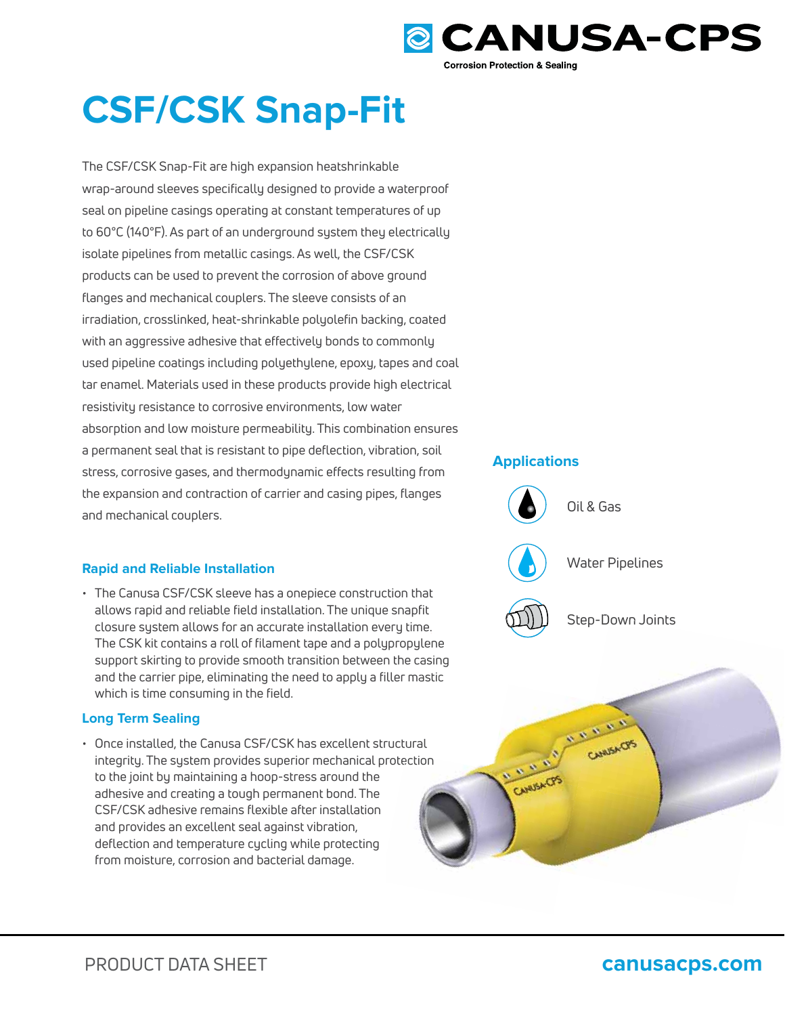

# **CSF/CSK Snap-Fit**

The CSF/CSK Snap-Fit are high expansion heatshrinkable wrap-around sleeves specifically designed to provide a waterproof seal on pipeline casings operating at constant temperatures of up to 60°C (140°F). As part of an underground system they electrically isolate pipelines from metallic casings. As well, the CSF/CSK products can be used to prevent the corrosion of above ground flanges and mechanical couplers. The sleeve consists of an irradiation, crosslinked, heat-shrinkable polyolefin backing, coated with an aggressive adhesive that effectively bonds to commonly used pipeline coatings including polyethylene, epoxy, tapes and coal tar enamel. Materials used in these products provide high electrical resistivity resistance to corrosive environments, low water absorption and low moisture permeability. This combination ensures a permanent seal that is resistant to pipe deflection, vibration, soil stress, corrosive gases, and thermodynamic effects resulting from the expansion and contraction of carrier and casing pipes, flanges and mechanical couplers.

# **Rapid and Reliable Installation**

• The Canusa CSF/CSK sleeve has a onepiece construction that allows rapid and reliable field installation. The unique snapfit closure system allows for an accurate installation every time. The CSK kit contains a roll of filament tape and a polypropylene The CSK kit contains a roll of filament tape and a polypropylene<br>support skirting to provide smooth transition between the casing which is time consuming in the field.

# **Long Term Sealing**

and the carrier pipe, eliminating the need to apply a filler mastic<br>which is time consuming in the field.<br>**ong Term Sealing**<br>Once installed, the Canusa CSF/CSK has excellent structural<br>integrity. The system provides superi • Once installed, the Canusa CSF/CSK has excellent structural integrity. The system provides superior mechanical protection to the joint by maintaining a hoop-stress around the adhesive and creating a tough permanent bond. The CSF/CSK adhesive remains flexible after installation and provides an excellent seal against vibration, deflection and temperature cycling while protecting from moisture, corrosion and bacterial damage.

## **Applications**